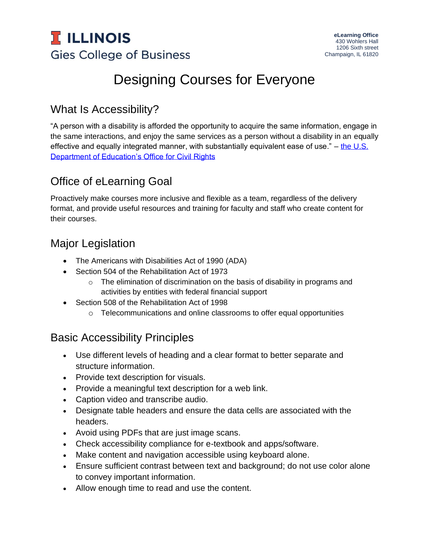

# Designing Courses for Everyone

## What Is Accessibility?

"A person with a disability is afforded the opportunity to acquire the same information, engage in the same interactions, and enjoy the same services as a person without a disability in an equally effective and equally integrated manner, with substantially equivalent ease of use." – the U.S. [Department of Education's Office for Civil Rights](https://www2.ed.gov/about/offices/list/ocr/index.html)

# Office of eLearning Goal

Proactively make courses more inclusive and flexible as a team, regardless of the delivery format, and provide useful resources and training for faculty and staff who create content for their courses.

#### Major Legislation

- The Americans with Disabilities Act of 1990 (ADA)
- Section 504 of the Rehabilitation Act of 1973
	- $\circ$  The elimination of discrimination on the basis of disability in programs and activities by entities with federal financial support
- Section 508 of the Rehabilitation Act of 1998
	- $\circ$  Telecommunications and online classrooms to offer equal opportunities

## Basic Accessibility Principles

- Use different levels of heading and a clear format to better separate and structure information.
- Provide text description for visuals.
- Provide a meaningful text description for a web link.
- Caption video and transcribe audio.
- Designate table headers and ensure the data cells are associated with the headers.
- Avoid using PDFs that are just image scans.
- Check accessibility compliance for e-textbook and apps/software.
- Make content and navigation accessible using keyboard alone.
- Ensure sufficient contrast between text and background; do not use color alone to convey important information.
- Allow enough time to read and use the content.